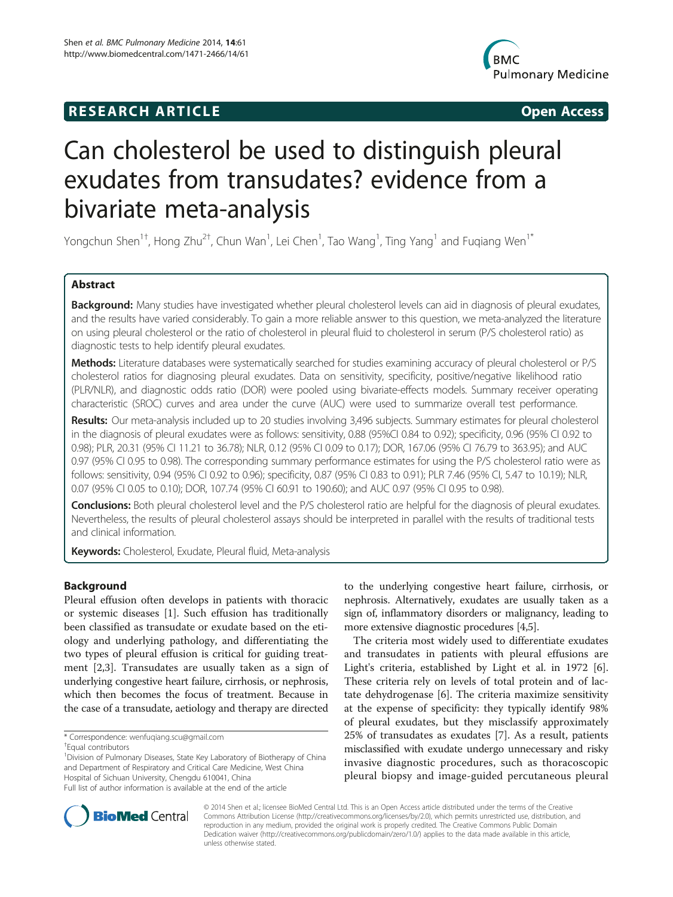# **RESEARCH ARTICLE Example 2014 CONSIDERING CONSIDERING CONSIDERING CONSIDERING CONSIDERING CONSIDERING CONSIDERING CONSIDERING CONSIDERING CONSIDERING CONSIDERING CONSIDERING CONSIDERING CONSIDERING CONSIDERING CONSIDE**



# Can cholesterol be used to distinguish pleural exudates from transudates? evidence from a bivariate meta-analysis

Yongchun Shen<sup>1†</sup>, Hong Zhu<sup>2†</sup>, Chun Wan<sup>1</sup>, Lei Chen<sup>1</sup>, Tao Wang<sup>1</sup>, Ting Yang<sup>1</sup> and Fuqiang Wen<sup>1\*</sup>

# Abstract

Background: Many studies have investigated whether pleural cholesterol levels can aid in diagnosis of pleural exudates, and the results have varied considerably. To gain a more reliable answer to this question, we meta-analyzed the literature on using pleural cholesterol or the ratio of cholesterol in pleural fluid to cholesterol in serum (P/S cholesterol ratio) as diagnostic tests to help identify pleural exudates.

Methods: Literature databases were systematically searched for studies examining accuracy of pleural cholesterol or P/S cholesterol ratios for diagnosing pleural exudates. Data on sensitivity, specificity, positive/negative likelihood ratio (PLR/NLR), and diagnostic odds ratio (DOR) were pooled using bivariate-effects models. Summary receiver operating characteristic (SROC) curves and area under the curve (AUC) were used to summarize overall test performance.

Results: Our meta-analysis included up to 20 studies involving 3,496 subjects. Summary estimates for pleural cholesterol in the diagnosis of pleural exudates were as follows: sensitivity, 0.88 (95%CI 0.84 to 0.92); specificity, 0.96 (95% CI 0.92 to 0.98); PLR, 20.31 (95% CI 11.21 to 36.78); NLR, 0.12 (95% CI 0.09 to 0.17); DOR, 167.06 (95% CI 76.79 to 363.95); and AUC 0.97 (95% CI 0.95 to 0.98). The corresponding summary performance estimates for using the P/S cholesterol ratio were as follows: sensitivity, 0.94 (95% CI 0.92 to 0.96); specificity, 0.87 (95% CI 0.83 to 0.91); PLR 7.46 (95% CI, 5.47 to 10.19); NLR, 0.07 (95% CI 0.05 to 0.10); DOR, 107.74 (95% CI 60.91 to 190.60); and AUC 0.97 (95% CI 0.95 to 0.98).

Conclusions: Both pleural cholesterol level and the P/S cholesterol ratio are helpful for the diagnosis of pleural exudates. Nevertheless, the results of pleural cholesterol assays should be interpreted in parallel with the results of traditional tests and clinical information.

Keywords: Cholesterol, Exudate, Pleural fluid, Meta-analysis

# Background

Pleural effusion often develops in patients with thoracic or systemic diseases [\[1](#page-7-0)]. Such effusion has traditionally been classified as transudate or exudate based on the etiology and underlying pathology, and differentiating the two types of pleural effusion is critical for guiding treatment [[2,3\]](#page-7-0). Transudates are usually taken as a sign of underlying congestive heart failure, cirrhosis, or nephrosis, which then becomes the focus of treatment. Because in the case of a transudate, aetiology and therapy are directed

<sup>1</sup>Division of Pulmonary Diseases, State Key Laboratory of Biotherapy of China and Department of Respiratory and Critical Care Medicine, West China Hospital of Sichuan University, Chengdu 610041, China Full list of author information is available at the end of the article

The criteria most widely used to differentiate exudates and transudates in patients with pleural effusions are Light's criteria, established by Light et al. in 1972 [\[6](#page-7-0)]. These criteria rely on levels of total protein and of lactate dehydrogenase [\[6](#page-7-0)]. The criteria maximize sensitivity at the expense of specificity: they typically identify 98% of pleural exudates, but they misclassify approximately 25% of transudates as exudates [\[7](#page-7-0)]. As a result, patients misclassified with exudate undergo unnecessary and risky invasive diagnostic procedures, such as thoracoscopic pleural biopsy and image-guided percutaneous pleural



© 2014 Shen et al.; licensee BioMed Central Ltd. This is an Open Access article distributed under the terms of the Creative Commons Attribution License [\(http://creativecommons.org/licenses/by/2.0\)](http://creativecommons.org/licenses/by/2.0), which permits unrestricted use, distribution, and reproduction in any medium, provided the original work is properly credited. The Creative Commons Public Domain Dedication waiver [\(http://creativecommons.org/publicdomain/zero/1.0/](http://creativecommons.org/publicdomain/zero/1.0/)) applies to the data made available in this article, unless otherwise stated.

<sup>\*</sup> Correspondence: [wenfuqiang.scu@gmail.com](mailto:wenfuqiang.scu@gmail.com) †

Equal contributors

to the underlying congestive heart failure, cirrhosis, or nephrosis. Alternatively, exudates are usually taken as a sign of, inflammatory disorders or malignancy, leading to more extensive diagnostic procedures [\[4,5](#page-7-0)].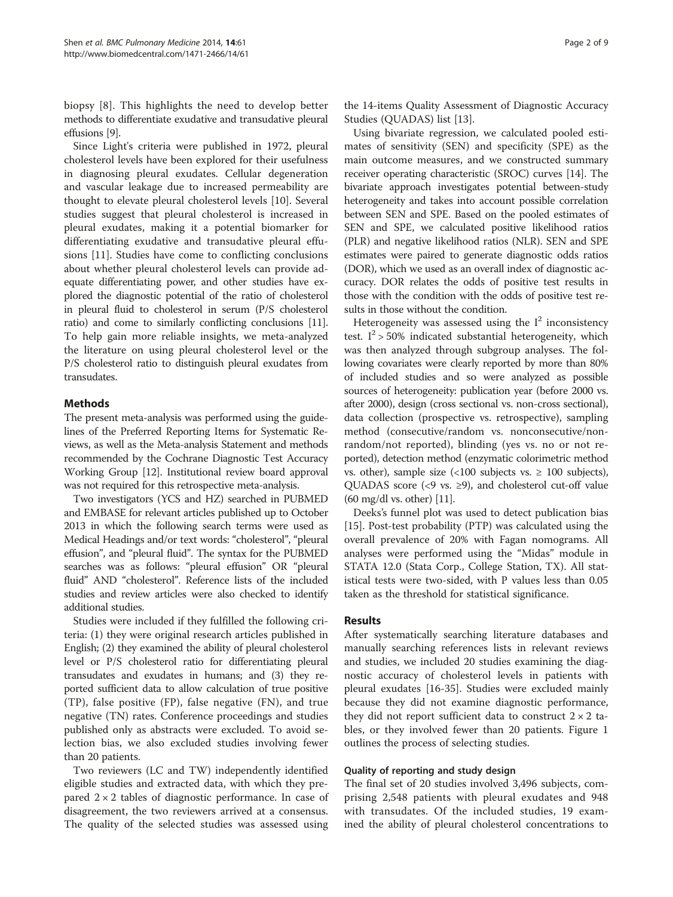biopsy [\[8](#page-7-0)]. This highlights the need to develop better methods to differentiate exudative and transudative pleural effusions [\[9\]](#page-7-0).

Since Light's criteria were published in 1972, pleural cholesterol levels have been explored for their usefulness in diagnosing pleural exudates. Cellular degeneration and vascular leakage due to increased permeability are thought to elevate pleural cholesterol levels [\[10\]](#page-7-0). Several studies suggest that pleural cholesterol is increased in pleural exudates, making it a potential biomarker for differentiating exudative and transudative pleural effusions [\[11\]](#page-8-0). Studies have come to conflicting conclusions about whether pleural cholesterol levels can provide adequate differentiating power, and other studies have explored the diagnostic potential of the ratio of cholesterol in pleural fluid to cholesterol in serum (P/S cholesterol ratio) and come to similarly conflicting conclusions [\[11](#page-8-0)]. To help gain more reliable insights, we meta-analyzed the literature on using pleural cholesterol level or the P/S cholesterol ratio to distinguish pleural exudates from transudates.

# Methods

The present meta-analysis was performed using the guidelines of the Preferred Reporting Items for Systematic Reviews, as well as the Meta-analysis Statement and methods recommended by the Cochrane Diagnostic Test Accuracy Working Group [\[12\]](#page-8-0). Institutional review board approval was not required for this retrospective meta-analysis.

Two investigators (YCS and HZ) searched in PUBMED and EMBASE for relevant articles published up to October 2013 in which the following search terms were used as Medical Headings and/or text words: "cholesterol", "pleural effusion", and "pleural fluid". The syntax for the PUBMED searches was as follows: "pleural effusion" OR "pleural fluid" AND "cholesterol". Reference lists of the included studies and review articles were also checked to identify additional studies.

Studies were included if they fulfilled the following criteria: (1) they were original research articles published in English; (2) they examined the ability of pleural cholesterol level or P/S cholesterol ratio for differentiating pleural transudates and exudates in humans; and (3) they reported sufficient data to allow calculation of true positive (TP), false positive (FP), false negative (FN), and true negative (TN) rates. Conference proceedings and studies published only as abstracts were excluded. To avoid selection bias, we also excluded studies involving fewer than 20 patients.

Two reviewers (LC and TW) independently identified eligible studies and extracted data, with which they prepared  $2 \times 2$  tables of diagnostic performance. In case of disagreement, the two reviewers arrived at a consensus. The quality of the selected studies was assessed using

the 14-items Quality Assessment of Diagnostic Accuracy Studies (QUADAS) list [\[13\]](#page-8-0).

Using bivariate regression, we calculated pooled estimates of sensitivity (SEN) and specificity (SPE) as the main outcome measures, and we constructed summary receiver operating characteristic (SROC) curves [\[14\]](#page-8-0). The bivariate approach investigates potential between-study heterogeneity and takes into account possible correlation between SEN and SPE. Based on the pooled estimates of SEN and SPE, we calculated positive likelihood ratios (PLR) and negative likelihood ratios (NLR). SEN and SPE estimates were paired to generate diagnostic odds ratios (DOR), which we used as an overall index of diagnostic accuracy. DOR relates the odds of positive test results in those with the condition with the odds of positive test results in those without the condition.

Heterogeneity was assessed using the  $I<sup>2</sup>$  inconsistency test.  $I^2$  > 50% indicated substantial heterogeneity, which was then analyzed through subgroup analyses. The following covariates were clearly reported by more than 80% of included studies and so were analyzed as possible sources of heterogeneity: publication year (before 2000 vs. after 2000), design (cross sectional vs. non-cross sectional), data collection (prospective vs. retrospective), sampling method (consecutive/random vs. nonconsecutive/nonrandom/not reported), blinding (yes vs. no or not reported), detection method (enzymatic colorimetric method vs. other), sample size  $\left($  < 100 subjects vs.  $\geq$  100 subjects), QUADAS score (<9 vs. ≥9), and cholesterol cut-off value (60 mg/dl vs. other) [\[11\]](#page-8-0).

Deeks's funnel plot was used to detect publication bias [[15\]](#page-8-0). Post-test probability (PTP) was calculated using the overall prevalence of 20% with Fagan nomograms. All analyses were performed using the "Midas" module in STATA 12.0 (Stata Corp., College Station, TX). All statistical tests were two-sided, with P values less than 0.05 taken as the threshold for statistical significance.

#### Results

After systematically searching literature databases and manually searching references lists in relevant reviews and studies, we included 20 studies examining the diagnostic accuracy of cholesterol levels in patients with pleural exudates [\[16-35](#page-8-0)]. Studies were excluded mainly because they did not examine diagnostic performance, they did not report sufficient data to construct  $2 \times 2$  tables, or they involved fewer than 20 patients. Figure [1](#page-2-0) outlines the process of selecting studies.

# Quality of reporting and study design

The final set of 20 studies involved 3,496 subjects, comprising 2,548 patients with pleural exudates and 948 with transudates. Of the included studies, 19 examined the ability of pleural cholesterol concentrations to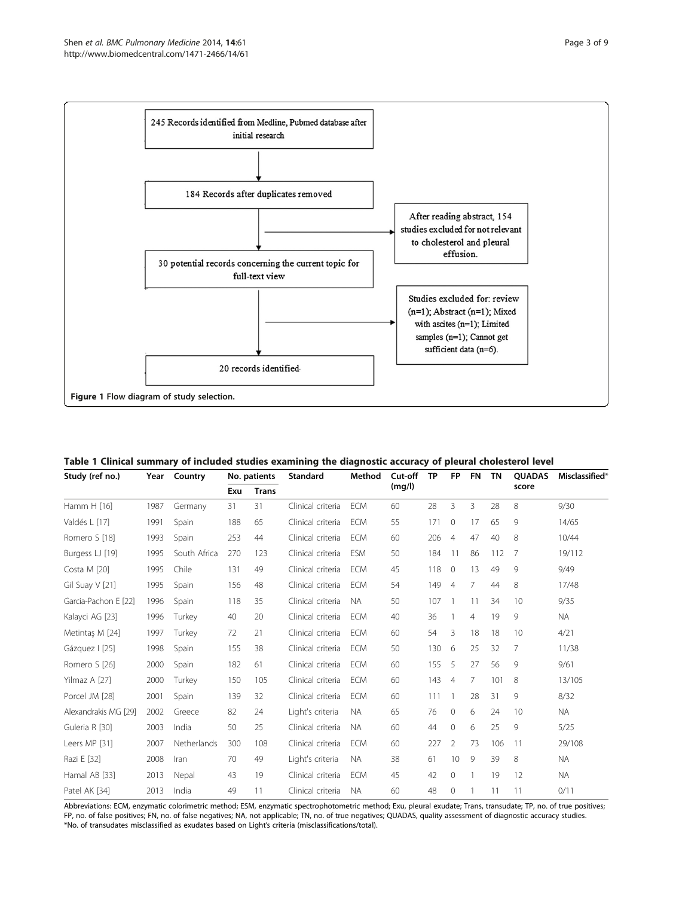<span id="page-2-0"></span>

Table 1 Clinical summary of included studies examining the diagnostic accuracy of pleural cholesterol level

| Study (ref no.)      | Year | Country      | No. patients |              | Standard          | Method     | Cut-off | <b>TP</b> | <b>FP</b>      | <b>FN</b>      | <b>TN</b> | <b>OUADAS</b>  | Misclassified* |
|----------------------|------|--------------|--------------|--------------|-------------------|------------|---------|-----------|----------------|----------------|-----------|----------------|----------------|
|                      |      |              | Exu          | <b>Trans</b> |                   |            | (mg/l)  |           |                |                |           | score          |                |
| Hamm H [16]          | 1987 | Germany      | 31           | 31           | Clinical criteria | <b>ECM</b> | 60      | 28        | 3              | 3              | 28        | 8              | 9/30           |
| Valdés L [17]        | 1991 | Spain        | 188          | 65           | Clinical criteria | <b>ECM</b> | 55      | 171       | $\mathbf{0}$   | 17             | 65        | 9              | 14/65          |
| Romero S [18]        | 1993 | Spain        | 253          | 44           | Clinical criteria | <b>ECM</b> | 60      | 206       | $\overline{4}$ | 47             | 40        | 8              | 10/44          |
| Burgess LJ [19]      | 1995 | South Africa | 270          | 123          | Clinical criteria | <b>ESM</b> | 50      | 184       | 11             | 86             | 112       | 7              | 19/112         |
| Costa M [20]         | 1995 | Chile        | 131          | 49           | Clinical criteria | <b>ECM</b> | 45      | 118       | $\mathbf{0}$   | 13             | 49        | 9              | 9/49           |
| Gil Suay V [21]      | 1995 | Spain        | 156          | 48           | Clinical criteria | <b>ECM</b> | 54      | 149       | $\overline{4}$ | 7              | 44        | 8              | 17/48          |
| Garcia-Pachon E [22] | 1996 | Spain        | 118          | 35           | Clinical criteria | <b>NA</b>  | 50      | 107       |                | 11             | 34        | 10             | 9/35           |
| Kalayci AG [23]      | 1996 | Turkey       | 40           | 20           | Clinical criteria | <b>ECM</b> | 40      | 36        |                | $\overline{4}$ | 19        | 9              | <b>NA</b>      |
| Metintas M [24]      | 1997 | Turkey       | 72           | 21           | Clinical criteria | <b>ECM</b> | 60      | 54        | 3              | 18             | 18        | 10             | 4/21           |
| Gázquez   [25]       | 1998 | Spain        | 155          | 38           | Clinical criteria | <b>ECM</b> | 50      | 130       | 6              | 25             | 32        | $\overline{7}$ | 11/38          |
| Romero S [26]        | 2000 | Spain        | 182          | 61           | Clinical criteria | <b>ECM</b> | 60      | 155       | 5              | 27             | 56        | 9              | 9/61           |
| Yilmaz A [27]        | 2000 | Turkey       | 150          | 105          | Clinical criteria | <b>ECM</b> | 60      | 143       | $\overline{4}$ | 7              | 101       | 8              | 13/105         |
| Porcel JM [28]       | 2001 | Spain        | 139          | 32           | Clinical criteria | <b>ECM</b> | 60      | 111       |                | 28             | 31        | 9              | 8/32           |
| Alexandrakis MG [29] | 2002 | Greece       | 82           | 24           | Light's criteria  | <b>NA</b>  | 65      | 76        | $\mathbf{0}$   | 6              | 24        | 10             | <b>NA</b>      |
| Guleria R [30]       | 2003 | India        | 50           | 25           | Clinical criteria | <b>NA</b>  | 60      | 44        | $\mathbf{0}$   | 6              | 25        | 9              | 5/25           |
| Leers MP [31]        | 2007 | Netherlands  | 300          | 108          | Clinical criteria | <b>ECM</b> | 60      | 227       | $\overline{2}$ | 73             | 106       | 11             | 29/108         |
| Razi E [32]          | 2008 | Iran         | 70           | 49           | Light's criteria  | NA.        | 38      | 61        | 10             | 9              | 39        | 8              | <b>NA</b>      |
| Hamal AB [33]        | 2013 | Nepal        | 43           | 19           | Clinical criteria | <b>ECM</b> | 45      | 42        | $\mathbf{0}$   | $\mathbf{1}$   | 19        | 12             | <b>NA</b>      |
| Patel AK [34]        | 2013 | India        | 49           | 11           | Clinical criteria | <b>NA</b>  | 60      | 48        | $\mathbf{0}$   |                | 11        | 11             | 0/11           |

Abbreviations: ECM, enzymatic colorimetric method; ESM, enzymatic spectrophotometric method; Exu, pleural exudate; Trans, transudate; TP, no. of true positives; FP, no. of false positives; FN, no. of false negatives; NA, not applicable; TN, no. of true negatives; QUADAS, quality assessment of diagnostic accuracy studies. \*No. of transudates misclassified as exudates based on Light's criteria (misclassifications/total).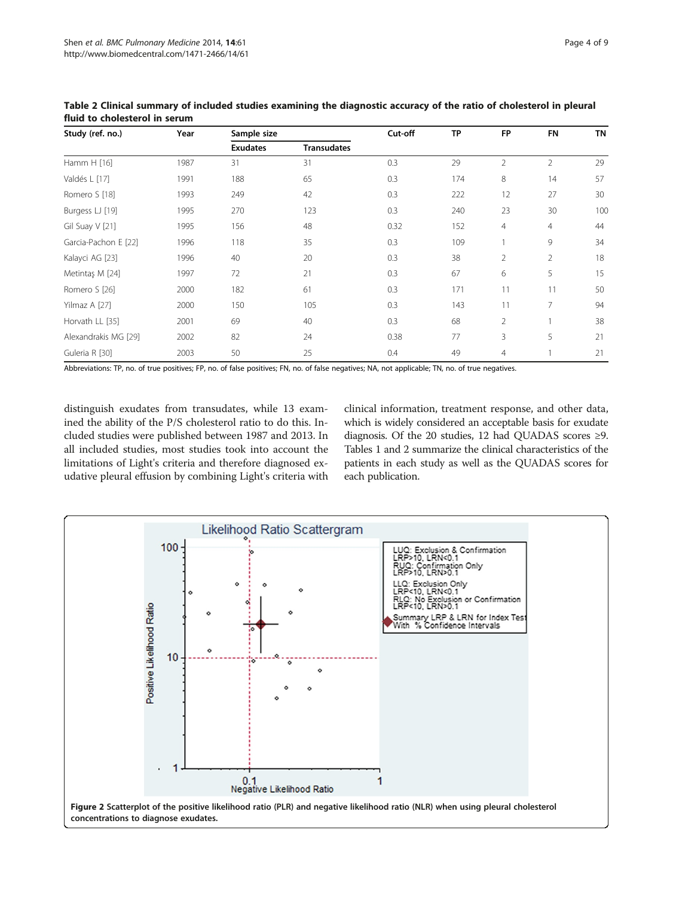| Study (ref. no.)     | Year | Sample size     |                    | Cut-off | <b>TP</b> | <b>FP</b>      | <b>FN</b>      | <b>TN</b> |
|----------------------|------|-----------------|--------------------|---------|-----------|----------------|----------------|-----------|
|                      |      | <b>Exudates</b> | <b>Transudates</b> |         |           |                |                |           |
| Hamm H [16]          | 1987 | 31              | 31                 | 0.3     | 29        | $\overline{2}$ | $\overline{2}$ | 29        |
| Valdés L [17]        | 1991 | 188             | 65                 | 0.3     | 174       | 8              | 14             | 57        |
| Romero S [18]        | 1993 | 249             | 42                 | 0.3     | 222       | 12             | 27             | 30        |
| Burgess LJ [19]      | 1995 | 270             | 123                | 0.3     | 240       | 23             | 30             | 100       |
| Gil Suay V [21]      | 1995 | 156             | 48                 | 0.32    | 152       | 4              | $\overline{4}$ | 44        |
| Garcia-Pachon E [22] | 1996 | 118             | 35                 | 0.3     | 109       |                | 9              | 34        |
| Kalayci AG [23]      | 1996 | 40              | 20                 | 0.3     | 38        | $\overline{2}$ | $\overline{2}$ | 18        |
| Metintaş M [24]      | 1997 | 72              | 21                 | 0.3     | 67        | 6              | 5              | 15        |
| Romero S [26]        | 2000 | 182             | 61                 | 0.3     | 171       | 11             | 11             | 50        |
| Yilmaz A [27]        | 2000 | 150             | 105                | 0.3     | 143       | 11             | $\overline{7}$ | 94        |
| Horvath LL [35]      | 2001 | 69              | 40                 | 0.3     | 68        | $\overline{2}$ |                | 38        |
| Alexandrakis MG [29] | 2002 | 82              | 24                 | 0.38    | 77        | 3              | 5              | 21        |
| Guleria R [30]       | 2003 | 50              | 25                 | 0.4     | 49        | 4              |                | 21        |

<span id="page-3-0"></span>Table 2 Clinical summary of included studies examining the diagnostic accuracy of the ratio of cholesterol in pleural fluid to cholesterol in serum

Abbreviations: TP, no. of true positives; FP, no. of false positives; FN, no. of false negatives; NA, not applicable; TN, no. of true negatives.

distinguish exudates from transudates, while 13 examined the ability of the P/S cholesterol ratio to do this. Included studies were published between 1987 and 2013. In all included studies, most studies took into account the limitations of Light's criteria and therefore diagnosed exudative pleural effusion by combining Light's criteria with

clinical information, treatment response, and other data, which is widely considered an acceptable basis for exudate diagnosis. Of the 20 studies, 12 had QUADAS scores  $\geq$ 9. Tables [1](#page-2-0) and 2 summarize the clinical characteristics of the patients in each study as well as the QUADAS scores for each publication.

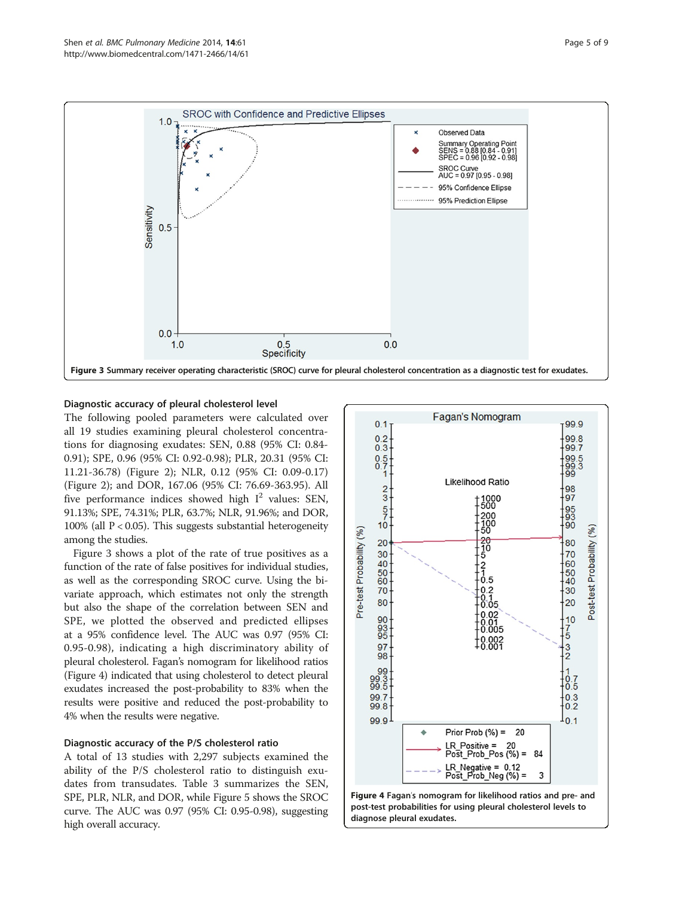



# Diagnostic accuracy of pleural cholesterol level

The following pooled parameters were calculated over all 19 studies examining pleural cholesterol concentrations for diagnosing exudates: SEN, 0.88 (95% CI: 0.84- 0.91); SPE, 0.96 (95% CI: 0.92-0.98); PLR, 20.31 (95% CI: 11.21-36.78) (Figure [2](#page-3-0)); NLR, 0.12 (95% CI: 0.09-0.17) (Figure [2](#page-3-0)); and DOR, 167.06 (95% CI: 76.69-363.95). All five performance indices showed high  $I^2$  values: SEN, 91.13%; SPE, 74.31%; PLR, 63.7%; NLR, 91.96%; and DOR, 100% (all  $P < 0.05$ ). This suggests substantial heterogeneity among the studies.

Figure 3 shows a plot of the rate of true positives as a function of the rate of false positives for individual studies, as well as the corresponding SROC curve. Using the bivariate approach, which estimates not only the strength but also the shape of the correlation between SEN and SPE, we plotted the observed and predicted ellipses at a 95% confidence level. The AUC was 0.97 (95% CI: 0.95-0.98), indicating a high discriminatory ability of pleural cholesterol. Fagan's nomogram for likelihood ratios (Figure 4) indicated that using cholesterol to detect pleural exudates increased the post-probability to 83% when the results were positive and reduced the post-probability to 4% when the results were negative.

### Diagnostic accuracy of the P/S cholesterol ratio

A total of 13 studies with 2,297 subjects examined the ability of the P/S cholesterol ratio to distinguish exudates from transudates. Table [3](#page-5-0) summarizes the SEN, SPE, PLR, NLR, and DOR, while Figure [5](#page-5-0) shows the SROC curve. The AUC was 0.97 (95% CI: 0.95-0.98), suggesting high overall accuracy.

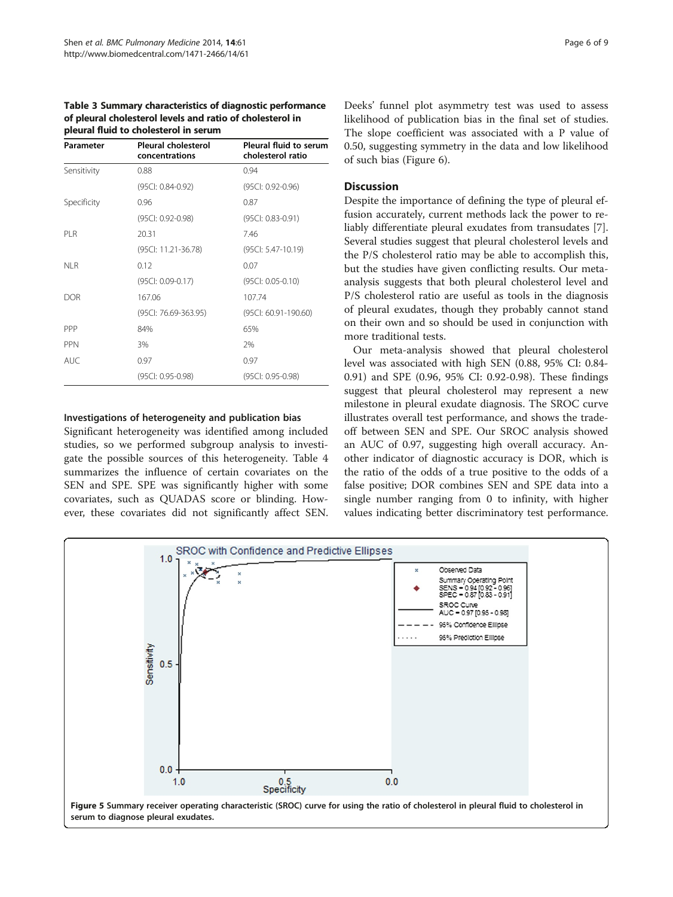<span id="page-5-0"></span>Table 3 Summary characteristics of diagnostic performance of pleural cholesterol levels and ratio of cholesterol in pleural fluid to cholesterol in serum

| Parameter   | <b>Pleural cholesterol</b><br>concentrations | Pleural fluid to serum<br>cholesterol ratio |
|-------------|----------------------------------------------|---------------------------------------------|
| Sensitivity | 0.88                                         | 0.94                                        |
|             | (95CI: 0.84-0.92)                            | (95CI: 0.92-0.96)                           |
| Specificity | 0.96                                         | 0.87                                        |
|             | (95Cl: 0.92-0.98)                            | (95Cl: 0.83-0.91)                           |
| PI R        | 20.31                                        | 746                                         |
|             | (95Cl: 11.21-36.78)                          | $(95C: 5.47-10.19)$                         |
| NI R        | 0.12                                         | 0.07                                        |
|             | (95Cl: 0.09-0.17)                            | (95Cl: 0.05-0.10)                           |
| DOR         | 167.06                                       | 107.74                                      |
|             | (95Cl: 76.69-363.95)                         | (95Cl: 60.91-190.60)                        |
| PPP         | 84%                                          | 65%                                         |
| <b>PPN</b>  | 3%                                           | 7%                                          |
| AUC.        | 0.97                                         | 0.97                                        |
|             | (95CI: 0.95-0.98)                            | (95CI: 0.95-0.98)                           |

#### Investigations of heterogeneity and publication bias

Significant heterogeneity was identified among included studies, so we performed subgroup analysis to investigate the possible sources of this heterogeneity. Table [4](#page-6-0) summarizes the influence of certain covariates on the SEN and SPE. SPE was significantly higher with some covariates, such as QUADAS score or blinding. However, these covariates did not significantly affect SEN. Deeks' funnel plot asymmetry test was used to assess likelihood of publication bias in the final set of studies. The slope coefficient was associated with a P value of 0.50, suggesting symmetry in the data and low likelihood of such bias (Figure [6](#page-6-0)).

# **Discussion**

Despite the importance of defining the type of pleural effusion accurately, current methods lack the power to reliably differentiate pleural exudates from transudates [\[7](#page-7-0)]. Several studies suggest that pleural cholesterol levels and the P/S cholesterol ratio may be able to accomplish this, but the studies have given conflicting results. Our metaanalysis suggests that both pleural cholesterol level and P/S cholesterol ratio are useful as tools in the diagnosis of pleural exudates, though they probably cannot stand on their own and so should be used in conjunction with more traditional tests.

Our meta-analysis showed that pleural cholesterol level was associated with high SEN (0.88, 95% CI: 0.84- 0.91) and SPE (0.96, 95% CI: 0.92-0.98). These findings suggest that pleural cholesterol may represent a new milestone in pleural exudate diagnosis. The SROC curve illustrates overall test performance, and shows the tradeoff between SEN and SPE. Our SROC analysis showed an AUC of 0.97, suggesting high overall accuracy. Another indicator of diagnostic accuracy is DOR, which is the ratio of the odds of a true positive to the odds of a false positive; DOR combines SEN and SPE data into a single number ranging from 0 to infinity, with higher values indicating better discriminatory test performance.

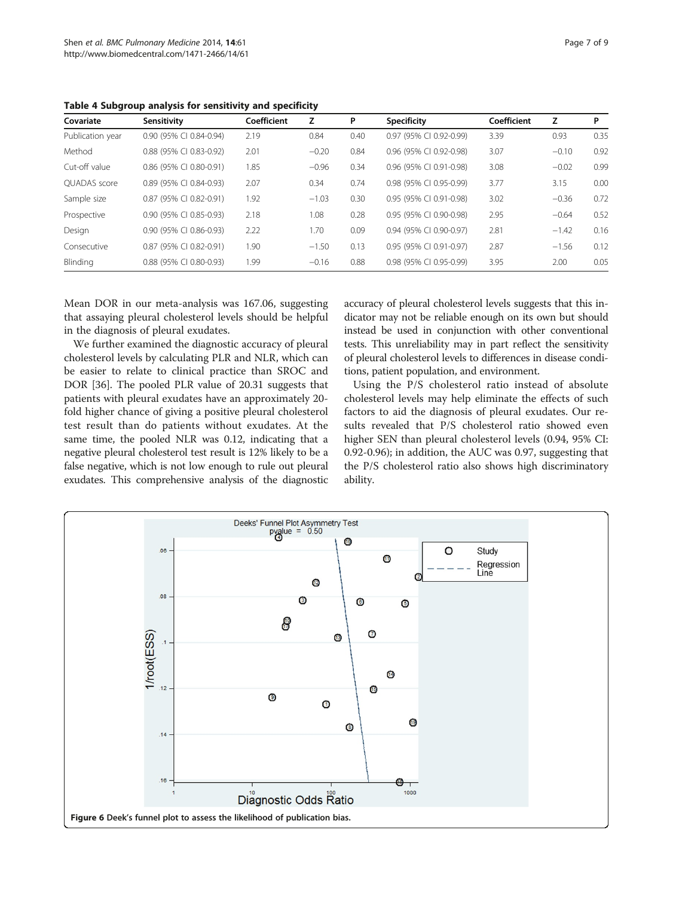<span id="page-6-0"></span>Table 4 Subgroup analysis for sensitivity and specificity

| Covariate           | Sensitivity               | Coefficient | z       | P    | <b>Specificity</b>      | Coefficient | z       | P    |
|---------------------|---------------------------|-------------|---------|------|-------------------------|-------------|---------|------|
| Publication year    | 0.90 (95% CI 0.84-0.94)   | 2.19        | 0.84    | 0.40 | 0.97 (95% CI 0.92-0.99) | 3.39        | 0.93    | 0.35 |
| Method              | 0.88 (95% CI 0.83-0.92)   | 2.01        | $-0.20$ | 0.84 | 0.96 (95% CI 0.92-0.98) | 3.07        | $-0.10$ | 0.92 |
| Cut-off value       | 0.86 (95% CI 0.80-0.91)   | 1.85        | $-0.96$ | 0.34 | 0.96 (95% CI 0.91-0.98) | 3.08        | $-0.02$ | 0.99 |
| <b>OUADAS</b> score | 0.89 (95% CI 0.84-0.93)   | 2.07        | 0.34    | 0.74 | 0.98 (95% CI 0.95-0.99) | 3.77        | 3.15    | 0.00 |
| Sample size         | 0.87 (95% CI 0.82-0.91)   | 1.92        | $-1.03$ | 0.30 | 0.95 (95% CI 0.91-0.98) | 3.02        | $-0.36$ | 0.72 |
| Prospective         | $0.90$ (95% CI 0.85-0.93) | 2.18        | 1.08    | 0.28 | 0.95 (95% CI 0.90-0.98) | 2.95        | $-0.64$ | 0.52 |
| Design              | 0.90 (95% CI 0.86-0.93)   | 2.22        | 1.70    | 0.09 | 0.94 (95% CI 0.90-0.97) | 2.81        | $-1.42$ | 0.16 |
| Consecutive         | 0.87 (95% CI 0.82-0.91)   | 1.90        | $-1.50$ | 0.13 | 0.95 (95% CI 0.91-0.97) | 2.87        | $-1.56$ | 0.12 |
| Blinding            | 0.88 (95% CI 0.80-0.93)   | 1.99        | $-0.16$ | 0.88 | 0.98 (95% CI 0.95-0.99) | 3.95        | 2.00    | 0.05 |

Mean DOR in our meta-analysis was 167.06, suggesting that assaying pleural cholesterol levels should be helpful in the diagnosis of pleural exudates.

We further examined the diagnostic accuracy of pleural cholesterol levels by calculating PLR and NLR, which can be easier to relate to clinical practice than SROC and DOR [\[36](#page-8-0)]. The pooled PLR value of 20.31 suggests that patients with pleural exudates have an approximately 20 fold higher chance of giving a positive pleural cholesterol test result than do patients without exudates. At the same time, the pooled NLR was 0.12, indicating that a negative pleural cholesterol test result is 12% likely to be a false negative, which is not low enough to rule out pleural exudates. This comprehensive analysis of the diagnostic accuracy of pleural cholesterol levels suggests that this indicator may not be reliable enough on its own but should instead be used in conjunction with other conventional tests. This unreliability may in part reflect the sensitivity of pleural cholesterol levels to differences in disease conditions, patient population, and environment.

Using the P/S cholesterol ratio instead of absolute cholesterol levels may help eliminate the effects of such factors to aid the diagnosis of pleural exudates. Our results revealed that P/S cholesterol ratio showed even higher SEN than pleural cholesterol levels (0.94, 95% CI: 0.92-0.96); in addition, the AUC was 0.97, suggesting that the P/S cholesterol ratio also shows high discriminatory ability.

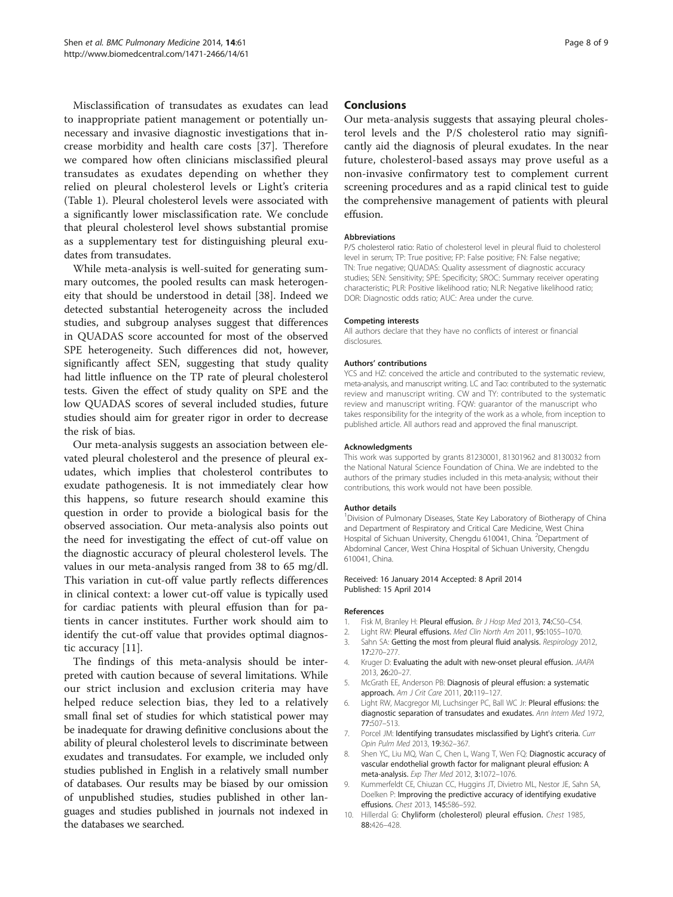<span id="page-7-0"></span>Misclassification of transudates as exudates can lead to inappropriate patient management or potentially unnecessary and invasive diagnostic investigations that increase morbidity and health care costs [\[37](#page-8-0)]. Therefore we compared how often clinicians misclassified pleural transudates as exudates depending on whether they relied on pleural cholesterol levels or Light's criteria (Table [1](#page-2-0)). Pleural cholesterol levels were associated with a significantly lower misclassification rate. We conclude that pleural cholesterol level shows substantial promise as a supplementary test for distinguishing pleural exudates from transudates.

While meta-analysis is well-suited for generating summary outcomes, the pooled results can mask heterogeneity that should be understood in detail [\[38\]](#page-8-0). Indeed we detected substantial heterogeneity across the included studies, and subgroup analyses suggest that differences in QUADAS score accounted for most of the observed SPE heterogeneity. Such differences did not, however, significantly affect SEN, suggesting that study quality had little influence on the TP rate of pleural cholesterol tests. Given the effect of study quality on SPE and the low QUADAS scores of several included studies, future studies should aim for greater rigor in order to decrease the risk of bias.

Our meta-analysis suggests an association between elevated pleural cholesterol and the presence of pleural exudates, which implies that cholesterol contributes to exudate pathogenesis. It is not immediately clear how this happens, so future research should examine this question in order to provide a biological basis for the observed association. Our meta-analysis also points out the need for investigating the effect of cut-off value on the diagnostic accuracy of pleural cholesterol levels. The values in our meta-analysis ranged from 38 to 65 mg/dl. This variation in cut-off value partly reflects differences in clinical context: a lower cut-off value is typically used for cardiac patients with pleural effusion than for patients in cancer institutes. Further work should aim to identify the cut-off value that provides optimal diagnostic accuracy [\[11](#page-8-0)].

The findings of this meta-analysis should be interpreted with caution because of several limitations. While our strict inclusion and exclusion criteria may have helped reduce selection bias, they led to a relatively small final set of studies for which statistical power may be inadequate for drawing definitive conclusions about the ability of pleural cholesterol levels to discriminate between exudates and transudates. For example, we included only studies published in English in a relatively small number of databases. Our results may be biased by our omission of unpublished studies, studies published in other languages and studies published in journals not indexed in the databases we searched.

#### Conclusions

Our meta-analysis suggests that assaying pleural cholesterol levels and the P/S cholesterol ratio may significantly aid the diagnosis of pleural exudates. In the near future, cholesterol-based assays may prove useful as a non-invasive confirmatory test to complement current screening procedures and as a rapid clinical test to guide the comprehensive management of patients with pleural effusion.

#### Abbreviations

P/S cholesterol ratio: Ratio of cholesterol level in pleural fluid to cholesterol level in serum; TP: True positive; FP: False positive; FN: False negative; TN: True negative; QUADAS: Quality assessment of diagnostic accuracy studies; SEN: Sensitivity; SPE: Specificity; SROC: Summary receiver operating characteristic; PLR: Positive likelihood ratio; NLR: Negative likelihood ratio; DOR: Diagnostic odds ratio; AUC: Area under the curve.

#### Competing interests

All authors declare that they have no conflicts of interest or financial disclosures.

#### Authors' contributions

YCS and HZ: conceived the article and contributed to the systematic review, meta-analysis, and manuscript writing. LC and Tao: contributed to the systematic review and manuscript writing. CW and TY: contributed to the systematic review and manuscript writing. FQW: guarantor of the manuscript who takes responsibility for the integrity of the work as a whole, from inception to published article. All authors read and approved the final manuscript.

#### Acknowledgments

This work was supported by grants 81230001, 81301962 and 8130032 from the National Natural Science Foundation of China. We are indebted to the authors of the primary studies included in this meta-analysis; without their contributions, this work would not have been possible.

#### Author details

<sup>1</sup> Division of Pulmonary Diseases, State Key Laboratory of Biotherapy of China and Department of Respiratory and Critical Care Medicine, West China Hospital of Sichuan University, Chengdu 610041, China. <sup>2</sup>Department of Abdominal Cancer, West China Hospital of Sichuan University, Chengdu 610041, China.

#### Received: 16 January 2014 Accepted: 8 April 2014 Published: 15 April 2014

#### References

- 1. Fisk M, Branley H: Pleural effusion. Br J Hosp Med 2013, 74:C50-C54.
- 2. Light RW: Pleural effusions. Med Clin North Am 2011, 95:1055-1070.
- 3. Sahn SA: Getting the most from pleural fluid analysis. Respirology 2012, 17:270–277.
- 4. Kruger D: Evaluating the adult with new-onset pleural effusion. JAAPA 2013, 26:20–27.
- 5. McGrath EE, Anderson PB: Diagnosis of pleural effusion: a systematic approach. Am J Crit Care 2011, 20:119–127.
- 6. Light RW, Macgregor MI, Luchsinger PC, Ball WC Jr: Pleural effusions: the diagnostic separation of transudates and exudates. Ann Intern Med 1972, 77:507–513.
- 7. Porcel JM: Identifying transudates misclassified by Light's criteria. Curr Opin Pulm Med 2013, 19:362–367.
- 8. Shen YC, Liu MQ, Wan C, Chen L, Wang T, Wen FQ: Diagnostic accuracy of vascular endothelial growth factor for malignant pleural effusion: A meta-analysis. Exp Ther Med 2012, 3:1072–1076.
- 9. Kummerfeldt CE, Chiuzan CC, Huggins JT, Divietro ML, Nestor JE, Sahn SA, Doelken P: Improving the predictive accuracy of identifying exudative effusions. Chest 2013, 145:586–592.
- 10. Hillerdal G: Chyliform (cholesterol) pleural effusion. Chest 1985, 88:426–428.